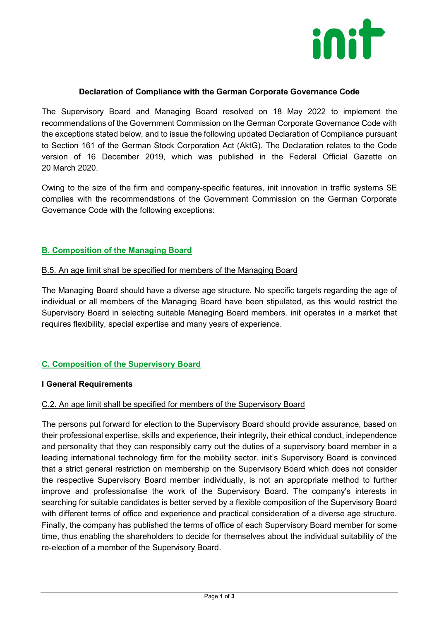

#### **Declaration of Compliance with the German Corporate Governance Code**

The Supervisory Board and Managing Board resolved on 18 May 2022 to implement the recommendations of the Government Commission on the German Corporate Governance Code with the exceptions stated below, and to issue the following updated Declaration of Compliance pursuant to Section 161 of the German Stock Corporation Act (AktG). The Declaration relates to the Code version of 16 December 2019, which was published in the Federal Official Gazette on 20 March 2020.

Owing to the size of the firm and company-specific features, init innovation in traffic systems SE complies with the recommendations of the Government Commission on the German Corporate Governance Code with the following exceptions:

## **B. Composition of the Managing Board**

## B.5. An age limit shall be specified for members of the Managing Board

The Managing Board should have a diverse age structure. No specific targets regarding the age of individual or all members of the Managing Board have been stipulated, as this would restrict the Supervisory Board in selecting suitable Managing Board members. init operates in a market that requires flexibility, special expertise and many years of experience.

## **C. Composition of the Supervisory Board**

## **I General Requirements**

## C.2. An age limit shall be specified for members of the Supervisory Board

The persons put forward for election to the Supervisory Board should provide assurance, based on their professional expertise, skills and experience, their integrity, their ethical conduct, independence and personality that they can responsibly carry out the duties of a supervisory board member in a leading international technology firm for the mobility sector. init's Supervisory Board is convinced that a strict general restriction on membership on the Supervisory Board which does not consider the respective Supervisory Board member individually, is not an appropriate method to further improve and professionalise the work of the Supervisory Board. The company's interests in searching for suitable candidates is better served by a flexible composition of the Supervisory Board with different terms of office and experience and practical consideration of a diverse age structure. Finally, the company has published the terms of office of each Supervisory Board member for some time, thus enabling the shareholders to decide for themselves about the individual suitability of the re-election of a member of the Supervisory Board.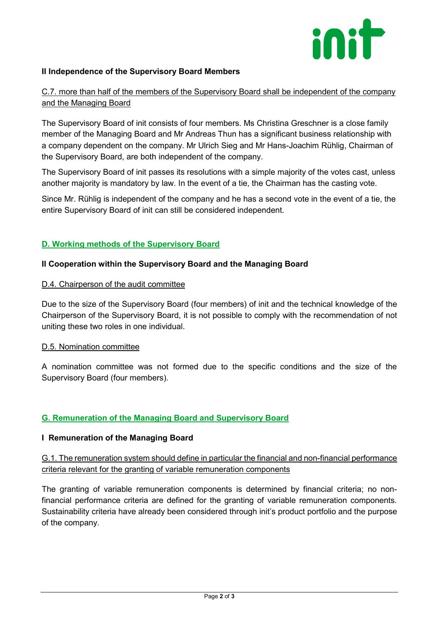

## **II Independence of the Supervisory Board Members**

## C.7. more than half of the members of the Supervisory Board shall be independent of the company and the Managing Board

The Supervisory Board of init consists of four members. Ms Christina Greschner is a close family member of the Managing Board and Mr Andreas Thun has a significant business relationship with a company dependent on the company. Mr Ulrich Sieg and Mr Hans-Joachim Rühlig, Chairman of the Supervisory Board, are both independent of the company.

The Supervisory Board of init passes its resolutions with a simple majority of the votes cast, unless another majority is mandatory by law. In the event of a tie, the Chairman has the casting vote.

Since Mr. Rühlig is independent of the company and he has a second vote in the event of a tie, the entire Supervisory Board of init can still be considered independent.

## **D. Working methods of the Supervisory Board**

## **II Cooperation within the Supervisory Board and the Managing Board**

#### D.4. Chairperson of the audit committee

Due to the size of the Supervisory Board (four members) of init and the technical knowledge of the Chairperson of the Supervisory Board, it is not possible to comply with the recommendation of not uniting these two roles in one individual.

#### D.5. Nomination committee

A nomination committee was not formed due to the specific conditions and the size of the Supervisory Board (four members).

## **G. Remuneration of the Managing Board and Supervisory Board**

#### **I Remuneration of the Managing Board**

G.1. The remuneration system should define in particular the financial and non-financial performance criteria relevant for the granting of variable remuneration components

The granting of variable remuneration components is determined by financial criteria; no nonfinancial performance criteria are defined for the granting of variable remuneration components. Sustainability criteria have already been considered through init's product portfolio and the purpose of the company.